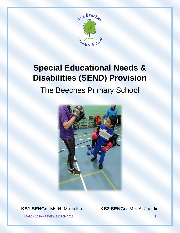

# **Special Educational Needs & Disabilities (SEND) Provision** The Beeches Primary School



**KS1 SENCo**: Ms H. Marsden **KS2 SENCo**: Mrs A. Jacklin

MARCH 2020 – REVIEW MARCH 2021 1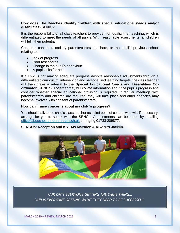### **How does The Beeches identify children with special educational needs and/or disabilities (SEND)?**

It is the responsibility of all class teachers to provide high quality first teaching, which is differentiated to meet the needs of all pupils. With reasonable adjustments, all children will fulfil their potential.

Concerns can be raised by parents/carers, teachers, or the pupil's previous school relating to:

- Lack of progress
- Poor test scores
- Change in the pupil's behaviour
- A pupil asks for help

If a child is not making adequate progress despite reasonable adjustments through a differentiated curriculum, intervention and personalised learning targets, the class teacher will then make a referral to the **Special Educational Needs and Disabilities Coordinator** (SENCo). Together they will collate information about the pupil's progress and consider whether special educational provision is required. If regular meetings with parents/carers and children are required, they will take place and other agencies may become involved with consent of parents/carers.

#### **How can I raise concerns about my child's progress?**

You should talk to the child's class teacher as a first point of contact who will, if necessary, arrange for you to speak with the SENCo. Appointments can be made by emailing [office@beeches.peterborough.sch.uk](mailto:office@beeches.peterborough.sch.uk) or ringing 01733 209877.

#### **SENCOs: Reception and KS1 Ms Marsden & KS2 Mrs Jacklin.**



*FAIR ISN'T EVERYONE GETTING THE SAME THING… FAIR IS EVERYONE GETTING WHAT THEY NEED TO BE SUCCESSFUL.*

MARCH 2020 – REVIEW MARCH 2021 2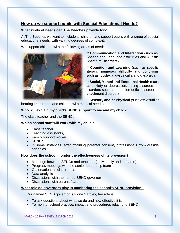# **How do we support pupils with Special Educational Needs?**

# **What kinds of needs can The Beeches provide for?**

At The Beeches we want to include all children and support pupils with a range of special educational needs, with varying degrees of complexity.

We support children with the following areas of need:



\* **Communication and Interaction** (such as: Speech and Language difficulties and Autistic Spectrum Disorders)

\* **Cognition and Learning** (such as specific literacy/ numeracy difficulty and conditions such as: dyslexia, dyscalculia and dyspraxia)

\* **Social, Mental and Emotional Health** (such as anxiety or depression, eating disorders or disorders such as: attention deficit disorder or attachment disorder)

\* **Sensory and/or Physical** (such as: visual or

hearing impairment and children with medical needs).

## **Who will explain my child's SEND support to me and my child?**

The class teacher and the SENCo.

## **Which school staff will work with my child?**

- Class teacher,
- Teaching assistants,
- Family support worker,
- SENCo,
- In some instances, after attaining parental consent, professionals from outside agencies.

## **How does the school monitor the effectiveness of its provision?**

- Meetings between SENCo and teachers (individually and in teams)
- Progress meetings with the senior leadership team
- Observations in classrooms
- Data analysis
- Discussions with the named SEND governor
- Discussions with parents/carers

#### **What role do governors play in monitoring the school's SEND provision?**

Our named SEND governor is Fiona Yardley, her role is

- To ask questions about what we do and how effective it is
- To monitor school practice, impact and procedures relating to SEND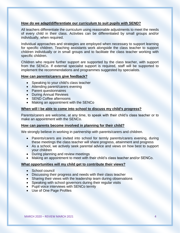#### **How do we adapt/differentiate our curriculum to suit pupils with SEND?**

All teachers differentiate the curriculum using reasonable adjustments to meet the needs of every child in their class. Activities can be differentiated by small groups and/or individually, when required.

Individual approaches and strategies are employed when necessary to support learning for specific children. Teaching assistants work alongside the class teacher to support children individually or in small groups and to facilitate the class teacher working with specific children.

Children who require further support are supported by the class teacher, with support from the SENCo. If external specialist support is required, staff will be supported to implement the recommendations and programmes suggested by specialists.

#### **How can parents/carers give feedback?**

- Speaking to your child's class teacher
- Attending parent/carers evening
- Parent questionnaires
- During Annual Reviews
- **SEND Coffee afternoons**
- Making an appointment with the SENCo

#### **When will I be able to come into school to discuss my child's progress?**

Parents/carers are welcome, at any time, to speak with their child's class teacher or to make an appointment with the SENCo.

#### **How can parents become involved in planning for their child?**

We strongly believe in working in partnership with parents/carers and children.

- Parents/carers are invited into school for termly parents/carers evening, during these meetings the class teacher will share progress, attainment and progress
- As a school, we actively seek parental advice and views on how best to support your children
- During planning and review meetings
- Making an appointment to meet with their child's class teacher and/or SENCo.

#### **What opportunities will my child get to contribute their views?**

- School council
- Discussing their progress and needs with their class teacher
- Sharing their views with the leadership team during observations
- Speaking with school governors during their regular visits
- Pupil voice interviews with SENCo termly
- Use of One Page Profiles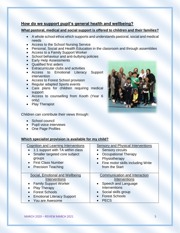# **How do we support pupil's general health and wellbeing?**

## **What pastoral, medical and social support is offered to children and their families?**

- A whole school ethos which supports and understands pastoral, social and medical needs
- Access to the School Nursing Service
- Personal, Social and Health Education in the classroom and through assemblies
- Access to a Family Support Worker
- School behaviour and anti-bullying policies
- Early Help Assessments
- Qualified first aiders
- Extracurricular clubs and activities
- Access to Emotional Literacy Support intervention
- Access to Forest School provision
- Regular adapted Sports events
- Care plans for children requiring medical support
- Access to counselling from Kooth (Year 6 only)
- Play Therapist

Children can contribute their views through:

- School council
- Pupil voice interviews
- One Page Profiles

# **Which specialist provision is available for my child?**

| <b>Cognition and Learning Interventions</b>          | <b>Sensory and Physical Interventions</b> |
|------------------------------------------------------|-------------------------------------------|
| 1:1 support with TA within class                     | • Sensory circuits                        |
| Smaller targeted core subject<br>$\bullet$           | <b>Occupational Therapy</b><br>$\bullet$  |
| groups                                               | Physiotherapy<br>$\bullet$                |
| • First Class Number                                 | • Fine motor skills including Write       |
| <b>Precision Teaching</b>                            | from the Start                            |
|                                                      |                                           |
|                                                      |                                           |
| Social, Emotional and Wellbeing                      | Communication and Interaction             |
| Interventions                                        | Interventions                             |
| <b>Family Support Worker</b>                         | Speech and Language<br>$\bullet$          |
|                                                      | Interventions                             |
| <b>Play Therapy</b><br><b>Forest Schools</b>         | Social skills group<br>$\bullet$          |
|                                                      | <b>Forest Schools</b><br>$\bullet$        |
| <b>Emotional Literacy Support</b><br>You are Awesome | <b>PECS</b>                               |

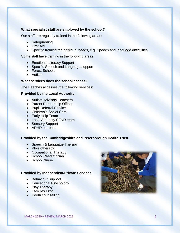#### **What specialist staff are employed by the school?**

Our staff are regularly trained in the following areas:

- Safeguarding
- First Aid
- Specific training for individual needs, e.g. Speech and language difficulties

Some staff have training in the following areas:

- Emotional Literacy Support
- Specific Speech and Language support
- Forest Schools
- Autism

#### **What services does the school access?**

The Beeches accesses the following services:

#### **Provided by the Local Authority**

- Autism Advisory Teachers
- Parent Partnership Officer
- Pupil Referral Service
- Children's Social Care
- Early Help Team
- Local Authority SEND team
- Sensory Support
- ADHD outreach

#### **Provided by the Cambridgeshire and Peterborough Health Trust**

- Speech & Language Therapy
- Physiotherapy
- Occupational Therapy
- School Paediatrician
- School Nurse

#### **Provided by Independent/Private Services**

- Behaviour Support
- Educational Psychology
- Play Therapy
- Families First
- Kooth counselling

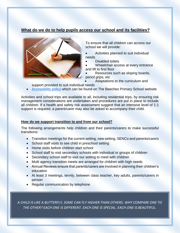# **What do we do to help pupils access our school and its facilities?**



To ensure that all children can access our school we will provide:

- Activities planned to suit individual needs
- Disabled toilets

Wheelchair access at every entrance and lift to first floor

- Resources such as sloping boards,
- pencil grips, etc
	- Adaptations to the curriculum and

support provided to suit individual needs

• [Accessibility policy](https://www.beeches.peterborough.sch.uk/page/?title=Accessibility%26%23160%3B&pid=214) which can be found on The Beeches Primary School website

Activities and school trips are available to all, including residential trips, by ensuring risk management considerations are undertaken and procedures are put in place to include all children. If a health and safety risk assessment suggest that an intensive level of 1:1 support is required, a parent/carer may also be asked to accompany their child.

#### **How do we support transition to and from our school?**

The following arrangements help children and their parents/carers to make successful transitions:

- Transition meetings for the current setting, new setting, SENCo and parents/carers
- School staff visits to see child in preschool setting
- Home visits before children start school
- School staff to visit secondary schools with individual or groups of children
- Secondary school staff to visit our setting to meet with children
- Multi agency transition meets are arranged for children with high needs
- Annual Reviews ensure that parents/carers are involved in planning their children's education
- At least 3 meetings, termly, between class teacher, key adults, parents/carers in person
- Regular communication by telephone

*A CHILD IS LIKE A BUTTERFLY, SOME CAN FLY HIGHER THAN OTHERS. WHY COMPARE ONE TO THE OTHER? EACH ONE IS DIFFERENT. EACH ONE IS SPECIAL. EACH ONE IS BEAUTIFUL.*

MARCH 2020 – REVIEW MARCH 2020 – REVIEW MARCH 2020 – REVIEW MARCH 2020 – REVIEW MARCH 2020 – REVIEW MARCH 2021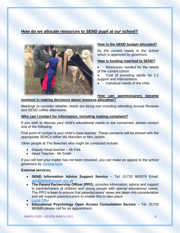# **How do we allocate resources to SEND pupil at our school?**



#### **How is the SEND budget allocated?**

By the current needs in the school which is approved by governors.

#### **How is funding matched to SEND?**

- Resources needed for the needs of the current cohort
- Cost of providing adults for 1:1 support and interventions
- Individual needs of the child.

#### **How can parents/carers become involved in making decisions about resource allocation?**

Meetings to consider whether needs are being met including attending Annual Reviews and SEND coffee afternoons.

#### **Who can I contact for information, including making complaint?**

If you wish to discuss your child's educational needs or are concerned, please contact one of the following:

First point of contact is your child's class teacher. These concerns will be shared with the appropriate SENCo either Ms Marsden or Mrs Jacklin.

Other people at The Beeches who might be contacted include:

- Deputy Head teacher Mr Fisk
- Head Teacher Mr Smith

If you still feel your matter has not been resolved, you can make an appeal to the school governors by [clicking here.](https://www.beeches.peterborough.sch.uk/form/?pid=51&form=16)

#### **External services**:

- **SEND Information Advice Support Service** Tel; 01733 863979 Email; [pps@peterborough.gov.uk](mailto:pps@peterborough.gov.uk)
- **The Parent Partnership Officer (PPO**), provides information, advice and support to parents/carers of children and young people with special educational needs. The PPO is keen to ensure that parents/carers' views are taken into consideration and will support parents/carers to enable this to take place

• **Educational Psychology Open Access Consultation Service** – Tel. 01733 863689 please call for an appointment.

<sup>•</sup> [Local Offer](https://fis.peterborough.gov.uk/kb5/peterborough/directory/localoffer.page?familychannel=8)